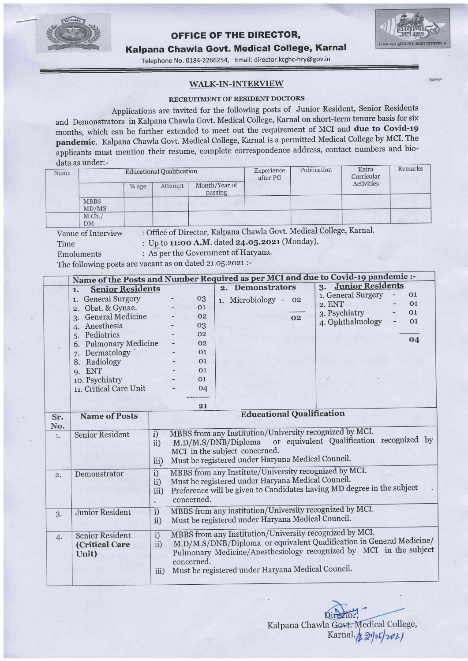

Time

Unit)

### oFFIGE OF THE DIREGTOR,



Kalpana Ghawla Govt. Medical Gollege, Karnal

Telephone No. 0184-2266254, Email: director.kcghc-hry@gov.in

#### WALK-IN-INTERVIEW

#### RECRUITMENT OF RESIDENT DOCTORS

Applications are invited for the following posts of Junior Resident, Senior Residents and Demonstrators in Kalpana Chawla Govt. Medical College, Karnal on short-term tenure basis for six months, which can be further extended to meet out the requirement of MCI and due to Covid-r9 pandemic. Kalpana Chawla Govt. Medical College, Karnal is a permitted Medical College by MCI. The applicants must mention their resume, complete correspondence address, contact numbers and biodata as under:

| Name |                      |       | <b>Educational Qualification</b> |                          | Experience<br>after PG | Publication | Extra<br>Curricular<br>Activities | Remarks |
|------|----------------------|-------|----------------------------------|--------------------------|------------------------|-------------|-----------------------------------|---------|
|      |                      | % age | Attempt                          | Month/Year of<br>passing |                        |             |                                   |         |
|      | <b>MBBS</b><br>MD/MS |       |                                  |                          |                        |             |                                   |         |
|      | M.Ch.<br>DM          |       |                                  |                          |                        |             |                                   |         |

Venue of Interview : Office of Director, Kalpana Chawla Govt. Medical College, Karnal'

: Up to 11:00 A.M. dated 24.05.2021 (Monday).

Emoluments : As per the Government of Haryana.

The following posts are vacant as on dated 21.05.2021:-

|     | Name of the Posts and Number Required as per MCI and due to Covid-19 pandemic :- |      |                                                                                                                                 |                |                                  |                                                   |    |                                                                                                                                                                                                                                                                                                                                    |    |  |
|-----|----------------------------------------------------------------------------------|------|---------------------------------------------------------------------------------------------------------------------------------|----------------|----------------------------------|---------------------------------------------------|----|------------------------------------------------------------------------------------------------------------------------------------------------------------------------------------------------------------------------------------------------------------------------------------------------------------------------------------|----|--|
|     | <b>Senior Residents</b><br>1.                                                    |      |                                                                                                                                 |                |                                  | 2. Demonstrators                                  |    | 3. Junior Residents                                                                                                                                                                                                                                                                                                                |    |  |
|     | <b>General Surgery</b><br>1.                                                     |      |                                                                                                                                 | $_{03}$        |                                  | 1. Microbiology -                                 | 02 | 1. General Surgery                                                                                                                                                                                                                                                                                                                 | 01 |  |
|     | Obst. & Gynae.<br>$\overline{2}$ .                                               |      |                                                                                                                                 | 01             |                                  |                                                   |    | 2. ENT                                                                                                                                                                                                                                                                                                                             | 01 |  |
|     | 3. General Medicine                                                              |      |                                                                                                                                 | O <sub>2</sub> |                                  |                                                   | 02 | 3. Psychiatry                                                                                                                                                                                                                                                                                                                      | 01 |  |
|     | Anesthesia<br>4.                                                                 |      |                                                                                                                                 | 03             |                                  |                                                   |    | 4. Ophthalmology                                                                                                                                                                                                                                                                                                                   | 01 |  |
|     | 5. Pediatrics                                                                    |      |                                                                                                                                 | 02             |                                  |                                                   |    |                                                                                                                                                                                                                                                                                                                                    |    |  |
|     | 6. Pulmonary Medicine<br>7. Dermatology                                          |      |                                                                                                                                 | 02             |                                  |                                                   |    |                                                                                                                                                                                                                                                                                                                                    | 04 |  |
|     |                                                                                  |      |                                                                                                                                 | 01             |                                  |                                                   |    |                                                                                                                                                                                                                                                                                                                                    |    |  |
|     | 8. Radiology                                                                     |      |                                                                                                                                 | 01             |                                  |                                                   |    |                                                                                                                                                                                                                                                                                                                                    |    |  |
|     | 9. ENT                                                                           |      |                                                                                                                                 | 01             |                                  |                                                   |    |                                                                                                                                                                                                                                                                                                                                    |    |  |
|     | 10. Psychiatry                                                                   |      |                                                                                                                                 | O <sub>1</sub> |                                  |                                                   |    |                                                                                                                                                                                                                                                                                                                                    |    |  |
|     | 11. Critical Care Unit                                                           |      |                                                                                                                                 | 04             |                                  |                                                   |    |                                                                                                                                                                                                                                                                                                                                    |    |  |
|     |                                                                                  |      |                                                                                                                                 |                |                                  |                                                   |    |                                                                                                                                                                                                                                                                                                                                    |    |  |
|     |                                                                                  |      |                                                                                                                                 | 21             |                                  |                                                   |    |                                                                                                                                                                                                                                                                                                                                    |    |  |
| Sr. | <b>Name of Posts</b>                                                             |      |                                                                                                                                 |                | <b>Educational Qualification</b> |                                                   |    |                                                                                                                                                                                                                                                                                                                                    |    |  |
| No. |                                                                                  |      |                                                                                                                                 |                |                                  |                                                   |    |                                                                                                                                                                                                                                                                                                                                    |    |  |
| 1.  | <b>Senior Resident</b>                                                           | i)   |                                                                                                                                 |                |                                  |                                                   |    | MBBS from any Institution/University recognized by MCI.                                                                                                                                                                                                                                                                            |    |  |
|     |                                                                                  | ii)  |                                                                                                                                 |                |                                  |                                                   |    | M.D/M.S/DNB/Diploma or equivalent Qualification recognized by                                                                                                                                                                                                                                                                      |    |  |
|     |                                                                                  |      |                                                                                                                                 |                |                                  | MCI in the subject concerned.                     |    |                                                                                                                                                                                                                                                                                                                                    |    |  |
|     |                                                                                  | iii) |                                                                                                                                 |                |                                  | Must be registered under Haryana Medical Council. |    |                                                                                                                                                                                                                                                                                                                                    |    |  |
| 2.  | Demonstrator                                                                     | i)   | MBBS from any Institute/University recognized by MCI.                                                                           |                |                                  |                                                   |    |                                                                                                                                                                                                                                                                                                                                    |    |  |
|     | ii)                                                                              |      | Must be registered under Haryana Medical Council.                                                                               |                |                                  |                                                   |    |                                                                                                                                                                                                                                                                                                                                    |    |  |
|     |                                                                                  | iii) |                                                                                                                                 |                |                                  |                                                   |    | Preference will be given to Candidates having MD degree in the subject                                                                                                                                                                                                                                                             |    |  |
|     |                                                                                  |      |                                                                                                                                 | concerned.     |                                  |                                                   |    |                                                                                                                                                                                                                                                                                                                                    |    |  |
|     | <b>Junior Resident</b>                                                           | i)   |                                                                                                                                 |                |                                  |                                                   |    |                                                                                                                                                                                                                                                                                                                                    |    |  |
| 3.  | ii)                                                                              |      | MBBS from any institution/University recognized by MCI.<br>Must be registered under Haryana Medical Council.                    |                |                                  |                                                   |    |                                                                                                                                                                                                                                                                                                                                    |    |  |
|     |                                                                                  |      |                                                                                                                                 |                |                                  |                                                   |    |                                                                                                                                                                                                                                                                                                                                    |    |  |
| 4.  | i)<br><b>Senior Resident</b>                                                     |      | MBBS from any Institution/University recognized by MCI.<br>M.D/M.S/DNB/Diploma or equivalent Qualification in General Medicine/ |                |                                  |                                                   |    |                                                                                                                                                                                                                                                                                                                                    |    |  |
|     | <b>(Critical Care</b>                                                            | ii)  |                                                                                                                                 |                |                                  |                                                   |    | $\mathbf{1}$ $\mathbf{1}$ $\mathbf{1}$ $\mathbf{1}$ $\mathbf{1}$ $\mathbf{1}$ $\mathbf{1}$ $\mathbf{1}$ $\mathbf{1}$ $\mathbf{1}$ $\mathbf{1}$ $\mathbf{1}$ $\mathbf{1}$ $\mathbf{1}$ $\mathbf{1}$ $\mathbf{1}$ $\mathbf{1}$ $\mathbf{1}$ $\mathbf{1}$ $\mathbf{1}$ $\mathbf{1}$ $\mathbf{1}$ $\mathbf{1}$ $\mathbf{1}$ $\mathbf{$ |    |  |

Pulmonary Medicine/Anesthesiology recognized by MCI in the subject concerned. Must be registered under Haryana Medical Council' iii)

Kalpana Chawla Govt. Medical College,